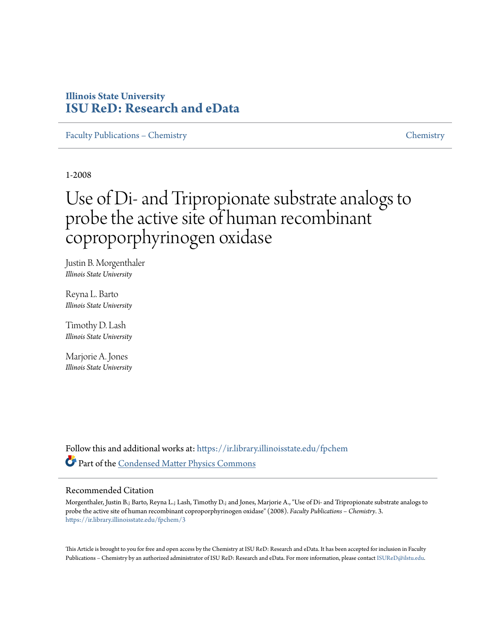# **Illinois State University [ISU ReD: Research and eData](https://ir.library.illinoisstate.edu?utm_source=ir.library.illinoisstate.edu%2Ffpchem%2F3&utm_medium=PDF&utm_campaign=PDFCoverPages)**

[Faculty Publications – Chemistry](https://ir.library.illinoisstate.edu/fpchem?utm_source=ir.library.illinoisstate.edu%2Ffpchem%2F3&utm_medium=PDF&utm_campaign=PDFCoverPages) [Chemistry](https://ir.library.illinoisstate.edu/chemistry?utm_source=ir.library.illinoisstate.edu%2Ffpchem%2F3&utm_medium=PDF&utm_campaign=PDFCoverPages)

1-2008

# Use of Di- and Tripropionate substrate analogs to probe the active site of human recombinant coproporphyrinogen oxidase

Justin B. Morgenthaler *Illinois State University*

Reyna L. Barto *Illinois State University*

Timothy D. Lash *Illinois State University*

Marjorie A. Jones *Illinois State University*

Follow this and additional works at: [https://ir.library.illinoisstate.edu/fpchem](https://ir.library.illinoisstate.edu/fpchem?utm_source=ir.library.illinoisstate.edu%2Ffpchem%2F3&utm_medium=PDF&utm_campaign=PDFCoverPages) Part of the [Condensed Matter Physics Commons](http://network.bepress.com/hgg/discipline/197?utm_source=ir.library.illinoisstate.edu%2Ffpchem%2F3&utm_medium=PDF&utm_campaign=PDFCoverPages)

### Recommended Citation

Morgenthaler, Justin B.; Barto, Reyna L.; Lash, Timothy D.; and Jones, Marjorie A., "Use of Di- and Tripropionate substrate analogs to probe the active site of human recombinant coproporphyrinogen oxidase" (2008). *Faculty Publications – Chemistry*. 3. [https://ir.library.illinoisstate.edu/fpchem/3](https://ir.library.illinoisstate.edu/fpchem/3?utm_source=ir.library.illinoisstate.edu%2Ffpchem%2F3&utm_medium=PDF&utm_campaign=PDFCoverPages)

This Article is brought to you for free and open access by the Chemistry at ISU ReD: Research and eData. It has been accepted for inclusion in Faculty Publications - Chemistry by an authorized administrator of ISU ReD: Research and eData. For more information, please contact [ISUReD@ilstu.edu.](mailto:ISUReD@ilstu.edu)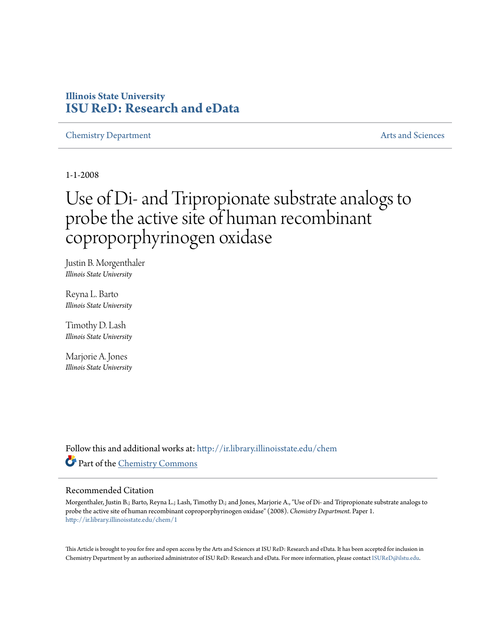# **Illinois State University [ISU ReD: Research and eData](http://ir.library.illinoisstate.edu?utm_source=ir.library.illinoisstate.edu%2Fchem%2F1&utm_medium=PDF&utm_campaign=PDFCoverPages)**

**[Chemistry Department](http://ir.library.illinoisstate.edu/chem?utm_source=ir.library.illinoisstate.edu%2Fchem%2F1&utm_medium=PDF&utm_campaign=PDFCoverPages)** [Arts and Sciences](http://ir.library.illinoisstate.edu/as?utm_source=ir.library.illinoisstate.edu%2Fchem%2F1&utm_medium=PDF&utm_campaign=PDFCoverPages)

1-1-2008

# Use of Di- and Tripropionate substrate analogs to probe the active site of human recombinant coproporphyrinogen oxidase

Justin B. Morgenthaler *Illinois State University*

Reyna L. Barto *Illinois State University*

Timothy D. Lash *Illinois State University*

Marjorie A. Jones *Illinois State University*

Follow this and additional works at: [http://ir.library.illinoisstate.edu/chem](http://ir.library.illinoisstate.edu/chem?utm_source=ir.library.illinoisstate.edu%2Fchem%2F1&utm_medium=PDF&utm_campaign=PDFCoverPages) Part of the [Chemistry Commons](http://network.bepress.com/hgg/discipline/131?utm_source=ir.library.illinoisstate.edu%2Fchem%2F1&utm_medium=PDF&utm_campaign=PDFCoverPages)

### Recommended Citation

Morgenthaler, Justin B.; Barto, Reyna L.; Lash, Timothy D.; and Jones, Marjorie A., "Use of Di- and Tripropionate substrate analogs to probe the active site of human recombinant coproporphyrinogen oxidase" (2008). *Chemistry Department.* Paper 1. [http://ir.library.illinoisstate.edu/chem/1](http://ir.library.illinoisstate.edu/chem/1?utm_source=ir.library.illinoisstate.edu%2Fchem%2F1&utm_medium=PDF&utm_campaign=PDFCoverPages)

This Article is brought to you for free and open access by the Arts and Sciences at ISU ReD: Research and eData. It has been accepted for inclusion in Chemistry Department by an authorized administrator of ISU ReD: Research and eData. For more information, please contact [ISUReD@ilstu.edu.](mailto:ISUReD@ilstu.edu)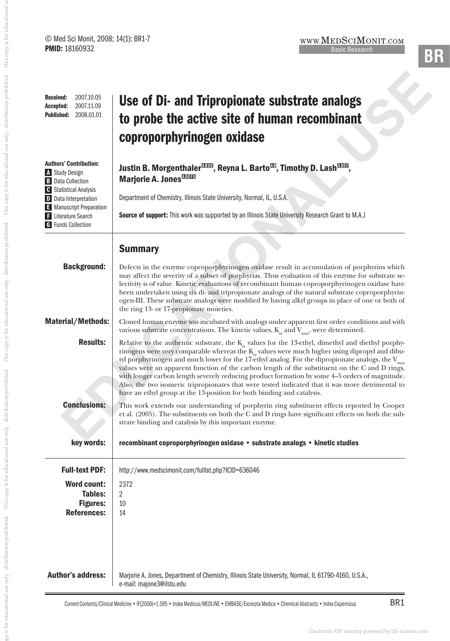| $\circ$ mod our mone, 2000, 1-11, DR1<br><b>PMID: 18160932</b>                                                                                                                                  | WWW. <b>IVIEDOCHVIONIT.COM</b><br><b>Basic Research</b><br>3R                                                                                                                                                                                                                                                                                                                                                                                                                                                                                                                                                                                                                                                               |
|-------------------------------------------------------------------------------------------------------------------------------------------------------------------------------------------------|-----------------------------------------------------------------------------------------------------------------------------------------------------------------------------------------------------------------------------------------------------------------------------------------------------------------------------------------------------------------------------------------------------------------------------------------------------------------------------------------------------------------------------------------------------------------------------------------------------------------------------------------------------------------------------------------------------------------------------|
| 2007.10.05<br><b>Received:</b><br>2007.11.09<br>Accepted:<br><b>Published:</b><br>2008.01.01                                                                                                    | Use of Di- and Tripropionate substrate analogs<br>to probe the active site of human recombinant<br>coproporphyrinogen oxidase                                                                                                                                                                                                                                                                                                                                                                                                                                                                                                                                                                                               |
| <b>Authors' Contribution:</b><br>A Study Design<br><b>B</b> Data Collection<br><b>C</b> Statistical Analysis<br>D Data Interpretation<br>E Manuscript Preparation<br><b>F</b> Literature Search | Justin B. Morgenthaler <sup>nom</sup> , Reyna L. Barto <sup>m</sup> , Timothy D. Lash <sup>nom</sup> ,<br>Marjorie A. Jones <sup>MITE</sup><br>Department of Chemistry, Illinois State University, Normal, IL, U.S.A.<br>Source of support: This work was supported by an Illinois State University Research Grant to M.A.J                                                                                                                                                                                                                                                                                                                                                                                                 |
| <b>G</b> Funds Collection<br><b>Background:</b>                                                                                                                                                 | <b>Summary</b><br>Defects in the enzyme coproporphyrinogen oxidase result in accumulation of porphyrins which<br>may affect the severity of a subset of porphyrias. Thus evaluation of this enzyme for substrate se-<br>lectivity is of value. Kinetic evaluations of recombinant human coproporphyrinogen oxidase have<br>been undertaken using six di- and tripropionate analogs of the natural substrate coproporphyrin-<br>ogen-III. These substrate analogs were modified by having alkyl groups in place of one or both of                                                                                                                                                                                            |
| <b>Material/Methods:</b>                                                                                                                                                                        | the ring 13- or 17-propionate moieties.<br>Cloned human enzyme was incubated with analogs under apparent first order conditions and with<br>various substrate concentrations. The kinetic values, $K_m$ and $V_{max}$ , were determined.                                                                                                                                                                                                                                                                                                                                                                                                                                                                                    |
| <b>Results:</b>                                                                                                                                                                                 | Relative to the authentic substrate, the $K_m$ values for the 13-ethyl, dimethyl and diethyl porphy-<br>rinogens were very comparable whereas the $\mathrm{K}_{\mathrm{m}}$ values were much higher using dipropyl and dibu-<br>tyl porphyrinogen and much lower for the 17-ethyl analog. For the dipropionate analogs, the $V_{\rm max}$<br>values were an apparent function of the carbon length of the substituent on the C and D rings,<br>with longer carbon length severely reducing product formation by some 4-5 orders of magnitude.<br>Also, the two isomeric tripropionates that were tested indicated that it was more detrimental to<br>have an ethyl group at the 13-position for both binding and catalysis. |
| <b>Conclusions:</b>                                                                                                                                                                             | This work extends our understanding of porphyrin ring substituent effects reported by Cooper<br>et al. (2005). The substituents on both the C and D rings have significant effects on both the sub-<br>strate binding and catalysis by this important enzyme.                                                                                                                                                                                                                                                                                                                                                                                                                                                               |
| key words:                                                                                                                                                                                      | recombinant coproporphyrinogen oxidase • substrate analogs • kinetic studies                                                                                                                                                                                                                                                                                                                                                                                                                                                                                                                                                                                                                                                |
| <b>Full-text PDF:</b><br><b>Word count:</b><br>Tables:<br><b>Figures:</b><br><b>References:</b>                                                                                                 | http://www.medscimonit.com/fulltxt.php?ICID=636046<br>2372<br>$\overline{2}$<br>10<br>14                                                                                                                                                                                                                                                                                                                                                                                                                                                                                                                                                                                                                                    |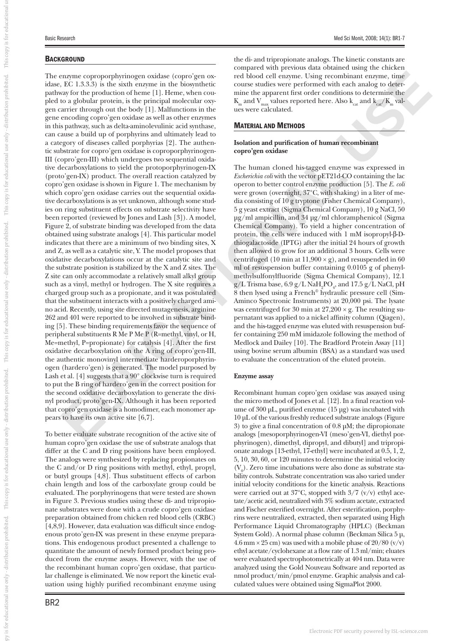This copy is for educational

This copy is for educational use only - distribution prohibited.

This copy is for educational use only - distribution prohibited.

-distribution prohibited.

This copy is for educational use only

is for educational use only - distribution prohibited.

py is for educational use only - distributiond prolified. This copy is for educational use only - distribution and the only - distribution problemed. This copy is for educational use only - distribution and the charge in t

## **BACKGROUND**

means reapportivalent existing of the term is the boson rather as contributed ready for the control of the significant ready for the property of the property of the property of the property of the property of the property The enzyme coproporphyrinogen oxidase (copro'gen oxidase, EC 1.3.3.3) is the sixth enzyme in the biosynthetic pathway for the production of heme [1]. Heme, when coupled to a globular protein, is the principal molecular oxygen carrier through out the body [1]. Malfunctions in the gene encoding copro'gen oxidase as well as other enzymes in this pathway, such as delta-aminolevulinic acid synthase, can cause a build up of porphyrins and ultimately lead to a category of diseases called porphyrias [2]. The authentic substrate for copro'gen oxidase is coproporphyrinogen-III (copro'gen-III) which undergoes two sequential oxidative decarboxylations to yield the protoporphyrinogen-IX (proto'gen-IX) product. The overall reaction catalyzed by copro'gen oxidase is shown in Figure 1. The mechanism by which copro'gen oxidase carries out the sequential oxidative decarboxylations is as yet unknown, although some studies on ring substituent effects on substrate selectivity have been reported (reviewed by Jones and Lash [3]). A model, Figure 2, of substrate binding was developed from the data obtained using substrate analogs [4]. This particular model indicates that there are a minimum of two binding sites, X and Z, as well as a catalytic site, Y. The model proposes that oxidative decarboxylations occur at the catalytic site and the substrate position is stabilized by the X and Z sites. The Z site can only accommodate a relatively small alkyl group such as a vinyl, methyl or hydrogen. The X site requires a charged group such as a propionate, and it was postulated that the substituent interacts with a positively charged amino acid. Recently, using site directed mutagenesis, arginine 262 and 401 were reported to be involved in substrate binding [5]. These binding requirements favor the sequence of peripheral substituents R Me P Me P (R=methyl, vinyl, or H, Me=methyl, P=propionate) for catalysis [4]. After the first oxidative decarboxylation on the A ring of copro'gen-III, the authentic monovinyl intermediate harderoporphyrinogen (hardero'gen) is generated. The model purposed by Lash et al. [4] suggests that a 90° clockwise turn is required to put the B ring of hardero'gen in the correct position for the second oxidative decarboxylation to generate the divinyl product, proto'gen-IX. Although it has been reported that copro'gen oxidase is a homodimer, each monomer appears to have its own active site [6,7].

To better evaluate substrate recognition of the active site of human copro'gen oxidase the use of substrate analogs that differ at the C and D ring positions have been employed. The analogs were synthesized by replacing propionates on the C and/or D ring positions with methyl, ethyl, propyl, or butyl groups [4,8]. Thus substituent effects of carbon chain length and loss of the carboxylate group could be evaluated. The porphyrinogens that were tested are shown in Figure 3. Previous studies using these di- and tripropionate substrates were done with a crude copro'gen oxidase preparation obtained from chicken red blood cells (CRBC)  $[4,8,9]$ . However, data evaluation was difficult since endogenous proto'gen-IX was present in these enzyme preparations. This endogenous product presented a challenge to quantitate the amount of newly formed product being produced from the enzyme assays. However, with the use of the recombinant human copro'gen oxidase, that particular challenge is eliminated. We now report the kinetic evaluation using highly purified recombinant enzyme using the di- and tripropionate analogs. The kinetic constants are compared with previous data obtained using the chicken red blood cell enzyme. Using recombinant enzyme, time course studies were performed with each analog to determine the apparent first order conditions to determine the  $K_m$  and  $V_{max}$  values reported here. Also  $k_{cat}$  and  $k_{cat}/K_m$  values were calculated.

## MATERIAL AND METHODS

### **Isolation and purification of human recombinant copro'gen oxidase**

The human cloned his-tagged enzyme was expressed in *Escherichia coli* with the vector pET21d-CO containing the lac operon to better control enzyme production [5]. The *E. coli* were grown (overnight, 37°C, with shaking) in a liter of media consisting of 10 g tryptone (Fisher Chemical Company), 5 g yeast extract (Sigma Chemical Company), 10 g NaCl, 50 μg/ml ampicillin, and 34 μg/ml chloramphenicol (Sigma Chemical Company). To yield a higher concentration of protein, the cells were induced with  $1 \text{ mM}$  isopropyl- $\beta$ -Dthiogalactoside (IPTG) after the initial 24 hours of growth then allowed to grow for an additional 3 hours. Cells were centrifuged (10 min at  $11,900 \times g$ ), and resuspended in 60 ml of resuspension buffer containing 0.0105 g of phenylmethylsulfonylfluoride (Sigma Chemical Company), 12.1  $g/L$  Trisma base,  $6.9 g/L$  Na $H_2$ PO<sub>4</sub>, and  $17.5 g/L$  NaCl, pH 8 then lysed using a French® hydraulic pressure cell (Sim-Aminco Spectronic Instruments) at 20,000 psi. The lysate was centrifuged for 30 min at  $27,200 \times g$ . The resulting supernatant was applied to a nickel affinity column (Qiagen), and the his-tagged enzyme was eluted with resuspension buffer containing 250 mM imidazole following the method of Medlock and Dailey [10]. The Bradford Protein Assay [11] using bovine serum albumin (BSA) as a standard was used to evaluate the concentration of the eluted protein.

### **Enzyme assay**

Recombinant human copro'gen oxidase was assayed using the micro method of Jones et al. [12]. In a final reaction volume of  $300 \mu L$ , purified enzyme  $(15 \mu g)$  was incubated with 10 μL of the various freshly reduced substrate analogs (Figure 3) to give a final concentration of  $0.8 \mu$ M; the dipropionate analogs [mesoporphyrinogen-VI (meso'gen-VI, diethyl porphyrinogen), dimethyl, dipropyl, and dibutyl] and tripropionate analogs [13-ethyl, 17-ethyl] were incubated at 0.5, 1, 2, 5, 10, 30, 60, or 120 minutes to determine the initial velocity  $(V_0)$ . Zero time incubations were also done as substrate stability controls. Substrate concentration was also varied under initial velocity conditions for the kinetic analysis. Reactions were carried out at 37 $\degree$ C, stopped with 3/7 (v/v) ethyl acetate/acetic acid, neutralized with 3% sodium acetate, extracted and Fischer esterified overnight. After esterification, porphyrins were neutralized, extracted, then separated using High Performance Liquid Chromatography (HPLC) (Beckman System Gold). A normal phase column (Beckman Silica 5 μ, 4.6 mm  $\times$  25 cm) was used with a mobile phase of 20/80 (v/v) ethyl acetate/cyclohexane at a flow rate of 1.3 ml/min; eluates were evaluated spectrophotometrically at 404 nm. Data were analyzed using the Gold Nouveau Software and reported as nmol product/min/pmol enzyme. Graphic analysis and calculated values were obtained using SigmaPlot 2000.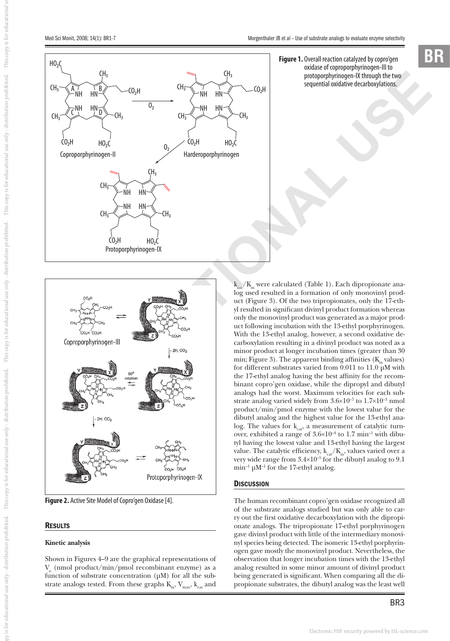### **Figure 1.** Overall reaction catalyzed by copro'gen oxidase of coproporphyrinogen-III to protoporphyrinogen-IX through the two sequential oxidative decarboxylations.





**Figure 2.** Active Site Model of Copro'gen Oxidase [4].

### **RESULTS**

### **Kinetic analysis**

Shown in Figures 4–9 are the graphical representations of  $V<sub>o</sub>$  (nmol product/min/pmol recombinant enzyme) as a function of substrate concentration (μM) for all the substrate analogs tested. From these graphs  $K_{m}$ ,  $V_{max}$ ,  $k_{cat}$  and

 $\overline{k_{cat}}/K_m$  were calculated (Table 1). Each dipropionate analog used resulted in a formation of only monovinyl product (Figure 3). Of the two tripropionates, only the 17-ethyl resulted in significant divinyl product formation whereas only the monovinyl product was generated as a major product following incubation with the 13-ethyl porphyrinogen. With the 13-ethyl analog, however, a second oxidative decarboxylation resulting in a divinyl product was noted as a minor product at longer incubation times (greater than 30 min; Figure 3). The apparent binding affinities  $(K<sub>m</sub>$  values) for different substrates varied from 0.011 to 11.0 μM with the 17-ethyl analog having the best affinity for the recombinant copro'gen oxidase, while the dipropyl and dibutyl analogs had the worst. Maximum velocities for each substrate analog varied widely from  $3.6 \times 10^{-7}$  to  $1.7 \times 10^{-3}$  nmol product/min/pmol enzyme with the lowest value for the dibutyl analog and the highest value for the 13-ethyl analog. The values for  $k_{\text{cat}}$ , a measurement of catalytic turnover, exhibited a range of  $3.6 \times 10^{-4}$  to 1.7 min<sup>-1</sup> with dibutyl having the lowest value and 13-ethyl having the largest value. The catalytic efficiency,  $k_{car}/K_m$ , values varied over a very wide range from  $3.4\times10^{-5}$  for the dibutyl analog to 9.1 min<sup>-1</sup>  $\mu$ M<sup>-1</sup> for the 17-ethyl analog.

### **DISCUSSION**

The human recombinant copro'gen oxidase recognized all of the substrate analogs studied but was only able to carry out the first oxidative decarboxylation with the dipropionate analogs. The tripropionate 17-ethyl porphyrinogen gave divinyl product with little of the intermediary monovinyl species being detected. The isomeric 13-ethyl porphyrinogen gave mostly the monovinyl product. Nevertheless, the observation that longer incubation times with the 13-ethyl analog resulted in some minor amount of divinyl product being generated is significant. When comparing all the dipropionate substrates, the dibutyl analog was the least well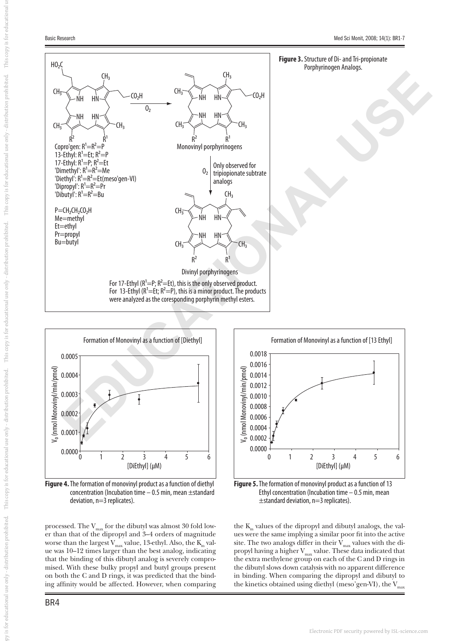



**Figure 4.** The formation of monovinyl product as a function of diethyl concentration (Incubation time – 0.5 min, mean ±standard deviation, n=3 replicates).

processed. The  $V_{max}$  for the dibutyl was almost 30 fold lower than that of the dipropyl and 3–4 orders of magnitude worse than the largest  $V_{\rm max}$  value, 13-ethyl. Also, the  $K_{\rm m}$  value was 10–12 times larger than the best analog, indicating that the binding of this dibutyl analog is severely compromised. With these bulky propyl and butyl groups present on both the C and D rings, it was predicted that the binding affinity would be affected. However, when comparing



**Figure 5.** The formation of monovinyl product as a function of 13 Ethyl concentration (Incubation time – 0.5 min, mean ±standard deviation, n=3 replicates).

the K<sub>m</sub> values of the dipropyl and dibutyl analogs, the values were the same implying a similar poor fit into the active site. The two analogs differ in their  $\hat{V}_{max}$  values with the dipropyl having a higher  $V_{\text{max}}$  value. These data indicated that the extra methylene group on each of the C and D rings in the dibutyl slows down catalysis with no apparent difference in binding. When comparing the dipropyl and dibutyl to the kinetics obtained using diethyl (meso'gen-VI), the  $V_{\text{max}}$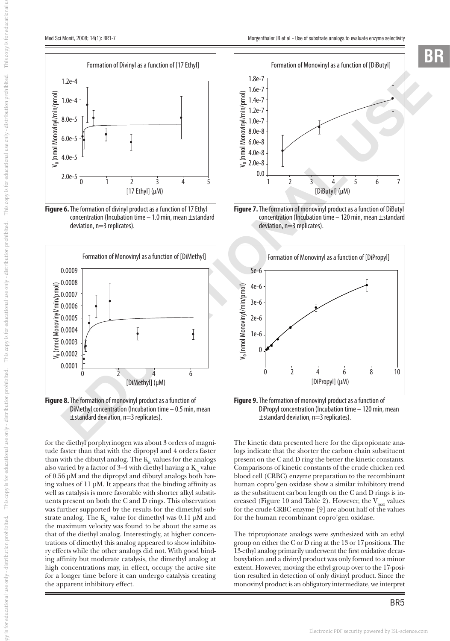



**Figure 6.** The formation of divinyl product as a function of 17 Ethyl concentration (Incubation time  $-1.0$  min, mean  $\pm$ standard deviation, n=3 replicates).



**Figure 8.** The formation of monovinyl product as a function of DiMethyl concentration (Incubation time – 0.5 min, mean ±standard deviation, n=3 replicates).

for the diethyl porphyrinogen was about 3 orders of magnitude faster than that with the dipropyl and 4 orders faster than with the dibutyl analog. The  $\text{K}_{_{\text{m}}}$  values for the analogs also varied by a factor of  $3-4$  with diethyl having a K<sub>m</sub> value of 0.56 μM and the dipropyl and dibutyl analogs both having values of  $11 \mu$ M. It appears that the binding affinity as well as catalysis is more favorable with shorter alkyl substituents present on both the C and D rings. This observation was further supported by the results for the dimethyl substrate analog. The  $K_m$  value for dimethyl was 0.11 μM and the maximum velocity was found to be about the same as that of the diethyl analog. Interestingly, at higher concentrations of dimethyl this analog appeared to show inhibitory effects while the other analogs did not. With good binding affinity but moderate catalysis, the dimethyl analog at high concentrations may, in effect, occupy the active site for a longer time before it can undergo catalysis creating the apparent inhibitory effect.



**Figure 7.** The formation of monovinyl product as a function of DiButyl concentration (Incubation time – 120 min, mean ±standard deviation, n=3 replicates).



**Figure 9.** The formation of monovinyl product as a function of DiPropyl concentration (Incubation time – 120 min, mean  $\pm$ standard deviation, n=3 replicates).

The kinetic data presented here for the dipropionate analogs indicate that the shorter the carbon chain substituent present on the C and D ring the better the kinetic constants. Comparisons of kinetic constants of the crude chicken red blood cell (CRBC) enzyme preparation to the recombinant human copro'gen oxidase show a similar inhibitory trend as the substituent carbon length on the C and D rings is increased (Figure 10 and Table 2). However, the  $V_{max}$  values for the crude CRBC enzyme [9] are about half of the values for the human recombinant copro'gen oxidase.

The tripropionate analogs were synthesized with an ethyl group on either the C or D ring at the 13 or 17positions. The 13-ethyl analog primarily underwent the first oxidative decarboxylation and a divinyl product was only formed to a minor extent. However, moving the ethyl group over to the 17-position resulted in detection of only divinyl product. Since the monovinyl product is an obligatory intermediate, we interpret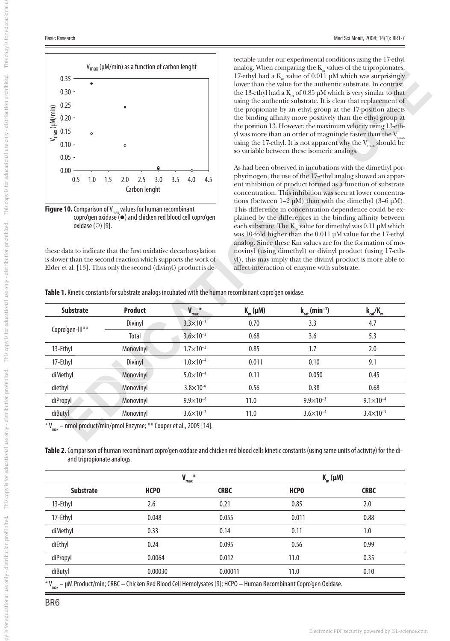

**Figure 10.** Comparison of V<sub>max</sub> values for human recombinant copro'gen oxidase ( $\bullet$ ) and chicken red blood cell copro'gen oxidase  $(\circ)$  [9].

tectable under our experimental conditions using the 17-ethyl analog. When comparing the  $\mathrm{K}_{\mathrm{m}}$  values of the tripropionates, 17-ethyl had a K<sub>m</sub> value of 0.011 μM which was surprisingly lower than the value for the authentic substrate. In contrast, the 13-ethyl had a  $K<sub>m</sub>$  of 0.85 μM which is very similar to that using the authentic substrate. It is clear that replacement of the propionate by an ethyl group at the 17-position affects the binding affinity more positively than the ethyl group at the position 13. However, the maximum velocity using 13-ethyl was more than an order of magnitude faster than the  $V$ . using the 17-ethyl. It is not apparent why the  $V_{max}$  should be so variable between these isomeric analogs.

| 0.35                                                    |                  |                    |                                                                                                                                                                                                      |                             |                                            |     |                                                                                                                          | 17-ethyl had a $K_m$ value of 0.011 µM which was surprisingly<br>lower than the value for the authentic substrate. In contrast,                                                                                                                                |                               |
|---------------------------------------------------------|------------------|--------------------|------------------------------------------------------------------------------------------------------------------------------------------------------------------------------------------------------|-----------------------------|--------------------------------------------|-----|--------------------------------------------------------------------------------------------------------------------------|----------------------------------------------------------------------------------------------------------------------------------------------------------------------------------------------------------------------------------------------------------------|-------------------------------|
| 0.30                                                    |                  |                    |                                                                                                                                                                                                      |                             |                                            |     |                                                                                                                          | the 13-ethyl had a $K_m$ of 0.85 µM which is very similar to that                                                                                                                                                                                              |                               |
| 0.25                                                    |                  |                    |                                                                                                                                                                                                      |                             |                                            |     |                                                                                                                          | using the authentic substrate. It is clear that replacement of<br>the propionate by an ethyl group at the 17-position affects                                                                                                                                  |                               |
| $V_{\text{max}}$ ( $\mu$ M/min)<br>0.20<br>0.15<br>0.10 |                  |                    |                                                                                                                                                                                                      |                             |                                            |     |                                                                                                                          | the binding affinity more positively than the ethyl group at                                                                                                                                                                                                   |                               |
|                                                         |                  | $\circ$            |                                                                                                                                                                                                      |                             |                                            |     |                                                                                                                          | the position 13. However, the maximum velocity using 13-eth-<br>yl was more than an order of magnitude faster than the $V_{\text{max}}$                                                                                                                        |                               |
|                                                         |                  |                    | $\circ$                                                                                                                                                                                              |                             |                                            |     |                                                                                                                          | using the 17-ethyl. It is not apparent why the $V_{\text{max}}$ should be                                                                                                                                                                                      |                               |
| 0.05                                                    |                  |                    |                                                                                                                                                                                                      |                             |                                            |     |                                                                                                                          | so variable between these isomeric analogs.                                                                                                                                                                                                                    |                               |
| 0.00                                                    |                  |                    |                                                                                                                                                                                                      |                             |                                            |     |                                                                                                                          | As had been observed in incubations with the dimethyl por-                                                                                                                                                                                                     |                               |
|                                                         | 0.5              | 1.0                | 1.5<br>2.0                                                                                                                                                                                           | 3.0<br>2.5<br>Carbon lenght | 3.5<br>4.0                                 | 4.5 |                                                                                                                          | phyrinogen, the use of the 17-ethyl analog showed an appar-<br>ent inhibition of product formed as a function of substrate<br>concentration. This inhibition was seen at lower concentra-<br>tions (between $1-2 \mu M$ ) than with the dimethyl $(3-6 \mu)$ . |                               |
|                                                         |                  | oxidase $(0)$ [9]. |                                                                                                                                                                                                      |                             |                                            |     |                                                                                                                          | each substrate. The $K_m$ value for dimethyl was 0.11 µM which                                                                                                                                                                                                 |                               |
|                                                         |                  |                    | these data to indicate that the first oxidative decarboxylation<br>is slower than the second reaction which supports the work of<br>Elder et al. [13]. Thus only the second (divinyl) product is de- |                             |                                            |     | was 10-fold higher than the 0.011 µM value for the 17-ethyl                                                              | analog. Since these Km values are for the formation of mo-<br>novinyl (using dimethyl) or divinyl product (using 17-eth-<br>yl), this may imply that the divinyl product is more able to<br>affect interaction of enzyme with substrate.                       |                               |
|                                                         | <b>Substrate</b> |                    |                                                                                                                                                                                                      | <b>Product</b>              |                                            |     | Table 1. Kinetic constants for substrate analogs incubated with the human recombinant copro'gen oxidase.<br>$K_m(\mu M)$ |                                                                                                                                                                                                                                                                | $k_{\text{cat}}/K_{\text{m}}$ |
|                                                         |                  |                    |                                                                                                                                                                                                      | Divinyl                     | $V_{\text{max}}^*$<br>$3.3 \times 10^{-3}$ |     | 0.70                                                                                                                     | $k_{cat}$ (min <sup>-1</sup> )<br>3.3                                                                                                                                                                                                                          | 4.7                           |
|                                                         | Copro'gen-Ill**  |                    |                                                                                                                                                                                                      | <b>Total</b>                | $3.6 \times 10^{-3}$                       |     | 0.68                                                                                                                     | 3.6                                                                                                                                                                                                                                                            | 5.3                           |
| 13-Ethyl                                                |                  |                    |                                                                                                                                                                                                      | Monovinyl                   | $1.7 \times 10^{-3}$                       |     | 0.85                                                                                                                     | 1.7                                                                                                                                                                                                                                                            | 2.0                           |
| 17-Ethyl                                                |                  |                    |                                                                                                                                                                                                      | Divinyl                     | $1.0 \times 10^{-4}$                       |     | 0.011                                                                                                                    | 0.10                                                                                                                                                                                                                                                           | 9.1                           |
| diMethyl                                                |                  |                    |                                                                                                                                                                                                      | Monovinyl                   | $5.0 \times 10^{-4}$                       |     | 0.11                                                                                                                     | 0.050                                                                                                                                                                                                                                                          | 0.45                          |
| diethyl                                                 |                  |                    |                                                                                                                                                                                                      | Monovinyl                   | $3.8 \times 10^{-4}$                       |     | 0.56                                                                                                                     | 0.38                                                                                                                                                                                                                                                           | 0.68                          |
| diPropyl                                                |                  |                    |                                                                                                                                                                                                      | Monovinyl                   | $9.9 \times 10^{-6}$                       |     | 11.0                                                                                                                     | $9.9 \times 10^{-3}$                                                                                                                                                                                                                                           | $9.1 \times 10^{-4}$          |

**Table 2.** Comparison of human recombinant copro'gen oxidase and chicken red blood cells kinetic constants (using same units of activity) for the diand tripropionate analogs.

|                                                                                                                 | $*$<br>$V_{max}$ |             | $K_m(\mu M)$ |             |  |
|-----------------------------------------------------------------------------------------------------------------|------------------|-------------|--------------|-------------|--|
| <b>Substrate</b>                                                                                                | <b>HCPO</b>      | <b>CRBC</b> | <b>HCPO</b>  | <b>CRBC</b> |  |
| 13-Ethyl                                                                                                        | 2.6              | 0.21        | 0.85         | 2.0         |  |
| 17-Ethyl                                                                                                        | 0.048            | 0.055       | 0.011        | 0.88        |  |
| diMethyl                                                                                                        | 0.33             | 0.14        | 0.11         | 1.0         |  |
| diEthyl                                                                                                         | 0.24             | 0.095       | 0.56         | 0.99        |  |
| diPropyl                                                                                                        | 0.0064           | 0.012       | 11.0         | 0.35        |  |
| diButyl                                                                                                         | 0.00030          | 0.00011     | 11.0         | 0.10        |  |
| * V = uM Product/min: CRRC = Chicken Red Rlood Cell Hemolycates [0]: HCPO = Human Recombinant Conro/gen Ovidase |                  |             |              |             |  |

V<sub>max</sub> – μM Product/min; CRBC – Chicken Red Blood Cell Hemolysates [9]; HCPO – Human Recombinant Copro'gen Oxidase.

BR6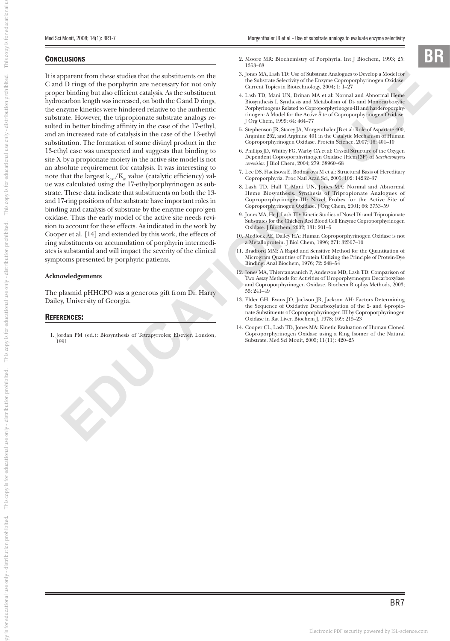### **CONCLUSIONS**

parameterin through that the stabilization in the stabilization in the stabilization of the parameterin from the stabilization of the stabilization of the stabilization of the stabilization of the stabilization of the sta It is apparent from these studies that the substituents on the C and D rings of the porphyrin are necessary for not only proper binding but also efficient catalysis. As the substituent hydrocarbon length was increased, on both the C and D rings, the enzyme kinetics were hindered relative to the authentic substrate. However, the tripropionate substrate analogs resulted in better binding affinity in the case of the 17-ethyl, and an increased rate of catalysis in the case of the 13-ethyl substitution. The formation of some divinyl product in the 13-ethyl case was unexpected and suggests that binding to site X by a propionate moiety in the active site model is not an absolute requirement for catalysis. It was interesting to note that the largest  $k_{cat}/K_m$  value (catalytic efficiency) value was calculated using the 17-ethylporphyrinogen as substrate. These data indicate that substituents on both the 13 and 17-ring positions of the substrate have important roles in binding and catalysis of substrate by the enzyme copro'gen oxidase. Thus the early model of the active site needs revision to account for these effects. As indicated in the work by Cooper et al. [14] and extended by this work, the effects of ring substituents on accumulation of porphyrin intermediates is substantial and will impact the severity of the clinical symptoms presented by porphyric patients.

### **Acknowledgements**

The plasmid pHHCPO was a generous gift from Dr. Harry Dailey, University of Georgia.

### REFERENCES:

 1. Jordan PM (ed.): Biosynthesis of Tetrapyrroles; Elsevier, London, 1991

- 2. Moore MR: Biochemistry of Porphyria. Int J Biochem, 1993; 25: 1353–68
- 3. Jones MA, Lash TD: Use of Substrate Analogues to Develop a Model for the Substrate Selectivity of the Enzyme Coproporphyrinogen Oxidase. Current Topics in Biotechnology, 2004; 1: 1–27
- 4. Lash TD, Mani UN, Drinan MA et al: Normal and Abnormal Heme Biosynthesis I. Synthesis and Metabolism of Di- and Monocarboxylic Porphyrinogens Related to Coproporphyrinogen-III and harderoporphyrinogen: A Model for the Active Site of Coproporphyrinogen Oxidase. J Org Chem, 1999; 64: 464–77
- 5. Stephenson JR, Stacey JA, Morgenthaler JB et al: Role of Aspartate 400, Arginine 262, and Arginine 401 in the Catalytic Mechanism of Human Coproporphyrinogen Oxidase. Protein Science, 2007; 16: 401–10
- 6. Phillips JD, Whitby FG, Warby CA et al: Crystal Structure of the Oxygen Dependent Coproporphyrinogen Oxidase (Hem13P) of *Saccharomyces cerevisiae*. J Biol Chem, 2004; 279: 38960–68
- 7. Lee DS, Flacksova E, Bodnarova M et al: Structural Basis of Hereditary Coproporphyria. Proc Natl Acad Sci, 2005; 102: 14232–37
- 8. Lash TD, Hall T, Mani UN, Jones MA: Normal and Abnormal Heme Biosynthesis. Synthesis of Tripropionate Analogues of Coproporphyrinogen-III: Novel Probes for the Active Site of Coproporphyrinogen Oxidase. J Org Chem, 2001; 66: 3753–59
- 9. Jones MA, He J, Lash TD: Kinetic Studies of Novel Di- and Tripropionate Substrates for the Chicken Red Blood Cell Enzyme Coproporphyrinogen Oxidase. J Biochem, 2002; 131: 201–5
- 10. Medlock AE, Dailey HA: Human Coproporphyrinogen Oxidase is not a Metalloprotein. J Biol Chem, 1996; 271: 32507–10
- 11. Bradford MM: A Rapid and Sensitive Method for the Quantitation of Microgram Quantities of Protein Utilizing the Principle of Protein-Dye Binding. Anal Biochem, 1976; 72: 248–54
- 12. Jones MA, Thientanavanich P, Anderson MD, Lash TD: Comparison of Two Assay Methods for Activities of Uroporphyrinogen Decarboxylase and Coproporphyrinogen Oxidase. Biochem Biophys Methods, 2003; 55: 241–49
- 13. Elder GH, Evans JO, Jackson JR, Jackson AH: Factors Determining the Sequence of Oxidative Decarboxylation of the 2- and 4-propionate Substituents of Coproporphyrinogen III by Coproporphyrinogen Oxidase in Rat Liver. Biochem J, 1978; 169: 215–23
- 14. Cooper CL, Lash TD, Jones MA: Kinetic Evaluation of Human Cloned Coproporphyrinogen Oxidase using a Ring Isomer of the Natural Substrate. Med Sci Monit, 2005; 11(11): 420–25